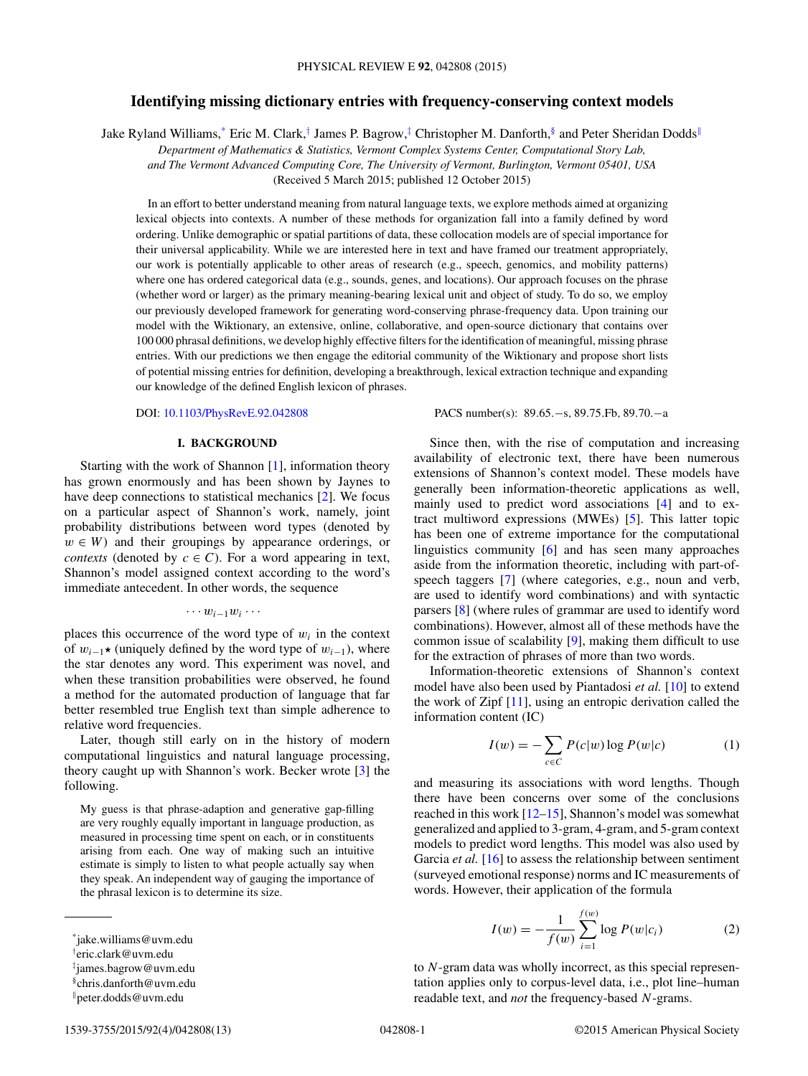# **Identifying missing dictionary entries with frequency-conserving context models**

<span id="page-0-0"></span>Jake Ryland Williams,\* Eric M. Clark,† James P. Bagrow,‡ Christopher M. Danforth,§ and Peter Sheridan Dodds<sup>∥</sup>

*Department of Mathematics & Statistics, Vermont Complex Systems Center, Computational Story Lab,*

*and The Vermont Advanced Computing Core, The University of Vermont, Burlington, Vermont 05401, USA*

(Received 5 March 2015; published 12 October 2015)

In an effort to better understand meaning from natural language texts, we explore methods aimed at organizing lexical objects into contexts. A number of these methods for organization fall into a family defined by word ordering. Unlike demographic or spatial partitions of data, these collocation models are of special importance for their universal applicability. While we are interested here in text and have framed our treatment appropriately, our work is potentially applicable to other areas of research (e.g., speech, genomics, and mobility patterns) where one has ordered categorical data (e.g., sounds, genes, and locations). Our approach focuses on the phrase (whether word or larger) as the primary meaning-bearing lexical unit and object of study. To do so, we employ our previously developed framework for generating word-conserving phrase-frequency data. Upon training our model with the Wiktionary, an extensive, online, collaborative, and open-source dictionary that contains over 100 000 phrasal definitions, we develop highly effective filters for the identification of meaningful, missing phrase entries. With our predictions we then engage the editorial community of the Wiktionary and propose short lists of potential missing entries for definition, developing a breakthrough, lexical extraction technique and expanding our knowledge of the defined English lexicon of phrases.

DOI: [10.1103/PhysRevE.92.042808](http://dx.doi.org/10.1103/PhysRevE.92.042808) PACS number(s): 89.65.−s, 89.75.Fb, 89.70.−a

#### **I. BACKGROUND**

Starting with the work of Shannon [\[1\]](#page-12-0), information theory has grown enormously and has been shown by Jaynes to have deep connections to statistical mechanics [\[2\]](#page-12-0). We focus on a particular aspect of Shannon's work, namely, joint probability distributions between word types (denoted by  $w \in W$ ) and their groupings by appearance orderings, or *contexts* (denoted by  $c \in C$ ). For a word appearing in text, Shannon's model assigned context according to the word's immediate antecedent. In other words, the sequence

#### $\cdots w_{i-1}w_i \cdots$

places this occurrence of the word type of  $w_i$  in the context of  $w_{i-1}$ ★ (uniquely defined by the word type of  $w_{i-1}$ ), where the star denotes any word. This experiment was novel, and when these transition probabilities were observed, he found a method for the automated production of language that far better resembled true English text than simple adherence to relative word frequencies.

Later, though still early on in the history of modern computational linguistics and natural language processing, theory caught up with Shannon's work. Becker wrote [\[3\]](#page-12-0) the following.

My guess is that phrase-adaption and generative gap-filling are very roughly equally important in language production, as measured in processing time spent on each, or in constituents arising from each. One way of making such an intuitive estimate is simply to listen to what people actually say when they speak. An independent way of gauging the importance of the phrasal lexicon is to determine its size.

Since then, with the rise of computation and increasing availability of electronic text, there have been numerous extensions of Shannon's context model. These models have generally been information-theoretic applications as well, mainly used to predict word associations [\[4\]](#page-12-0) and to extract multiword expressions (MWEs) [\[5\]](#page-12-0). This latter topic has been one of extreme importance for the computational linguistics community [\[6\]](#page-12-0) and has seen many approaches aside from the information theoretic, including with part-ofspeech taggers [\[7\]](#page-12-0) (where categories, e.g., noun and verb, are used to identify word combinations) and with syntactic parsers [\[8\]](#page-12-0) (where rules of grammar are used to identify word combinations). However, almost all of these methods have the common issue of scalability [\[9\]](#page-12-0), making them difficult to use for the extraction of phrases of more than two words.

Information-theoretic extensions of Shannon's context model have also been used by Piantadosi *et al.* [\[10\]](#page-12-0) to extend the work of Zipf [\[11\]](#page-12-0), using an entropic derivation called the information content (IC)

$$
I(w) = -\sum_{c \in C} P(c|w) \log P(w|c)
$$
 (1)

and measuring its associations with word lengths. Though there have been concerns over some of the conclusions reached in this work [\[12–15\]](#page-12-0), Shannon's model was somewhat generalized and applied to 3-gram, 4-gram, and 5-gram context models to predict word lengths. This model was also used by Garcia *et al.* [\[16\]](#page-12-0) to assess the relationship between sentiment (surveyed emotional response) norms and IC measurements of words. However, their application of the formula

$$
I(w) = -\frac{1}{f(w)} \sum_{i=1}^{f(w)} \log P(w|c_i)
$$
 (2)

to N-gram data was wholly incorrect, as this special representation applies only to corpus-level data, i.e., plot line–human readable text, and *not* the frequency-based N-grams.

<sup>\*</sup>jake.williams@uvm.edu

<sup>†</sup> eric.clark@uvm.edu

<sup>‡</sup> james.bagrow@uvm.edu

<sup>§</sup>chris.danforth@uvm.edu

<sup>∥</sup>peter.dodds@uvm.edu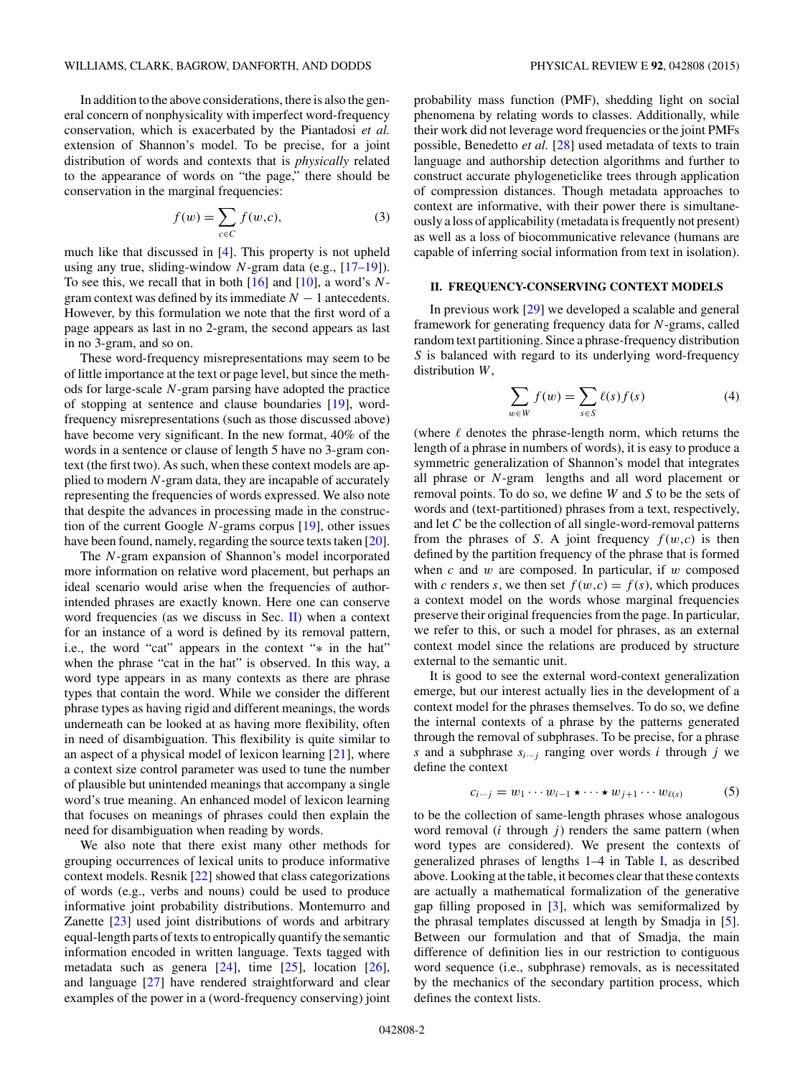In addition to the above considerations, there is also the general concern of nonphysicality with imperfect word-frequency conservation, which is exacerbated by the Piantadosi *et al.* extension of Shannon's model. To be precise, for a joint distribution of words and contexts that is *physically* related to the appearance of words on "the page," there should be conservation in the marginal frequencies:

$$
f(w) = \sum_{c \in C} f(w, c),\tag{3}
$$

much like that discussed in [\[4\]](#page-12-0). This property is not upheld using any true, sliding-window  $N$ -gram data (e.g.,  $[17-19]$ ). To see this, we recall that in both  $[16]$  and  $[10]$ , a word's Ngram context was defined by its immediate  $N - 1$  antecedents. However, by this formulation we note that the first word of a page appears as last in no 2-gram, the second appears as last in no 3-gram, and so on.

These word-frequency misrepresentations may seem to be of little importance at the text or page level, but since the methods for large-scale N-gram parsing have adopted the practice of stopping at sentence and clause boundaries [\[19\]](#page-12-0), wordfrequency misrepresentations (such as those discussed above) have become very significant. In the new format, 40% of the words in a sentence or clause of length 5 have no 3-gram context (the first two). As such, when these context models are applied to modern N-gram data, they are incapable of accurately representing the frequencies of words expressed. We also note that despite the advances in processing made in the construction of the current Google  $N$ -grams corpus  $[19]$ , other issues have been found, namely, regarding the source texts taken [\[20\]](#page-12-0).

The N-gram expansion of Shannon's model incorporated more information on relative word placement, but perhaps an ideal scenario would arise when the frequencies of authorintended phrases are exactly known. Here one can conserve word frequencies (as we discuss in Sec.  $II$ ) when a context for an instance of a word is defined by its removal pattern, i.e., the word "cat" appears in the context "∗ in the hat" when the phrase "cat in the hat" is observed. In this way, a word type appears in as many contexts as there are phrase types that contain the word. While we consider the different phrase types as having rigid and different meanings, the words underneath can be looked at as having more flexibility, often in need of disambiguation. This flexibility is quite similar to an aspect of a physical model of lexicon learning [\[21\]](#page-12-0), where a context size control parameter was used to tune the number of plausible but unintended meanings that accompany a single word's true meaning. An enhanced model of lexicon learning that focuses on meanings of phrases could then explain the need for disambiguation when reading by words.

We also note that there exist many other methods for grouping occurrences of lexical units to produce informative context models. Resnik [\[22\]](#page-12-0) showed that class categorizations of words (e.g., verbs and nouns) could be used to produce informative joint probability distributions. Montemurro and Zanette [\[23\]](#page-12-0) used joint distributions of words and arbitrary equal-length parts of texts to entropically quantify the semantic information encoded in written language. Texts tagged with metadata such as genera  $[24]$ , time  $[25]$ , location  $[26]$ , and language [\[27\]](#page-12-0) have rendered straightforward and clear examples of the power in a (word-frequency conserving) joint

probability mass function (PMF), shedding light on social phenomena by relating words to classes. Additionally, while their work did not leverage word frequencies or the joint PMFs possible, Benedetto *et al.* [\[28\]](#page-12-0) used metadata of texts to train language and authorship detection algorithms and further to construct accurate phylogeneticlike trees through application of compression distances. Though metadata approaches to context are informative, with their power there is simultaneously a loss of applicability (metadata is frequently not present) as well as a loss of biocommunicative relevance (humans are capable of inferring social information from text in isolation).

## **II. FREQUENCY-CONSERVING CONTEXT MODELS**

In previous work [\[29\]](#page-12-0) we developed a scalable and general framework for generating frequency data for N-grams, called random text partitioning. Since a phrase-frequency distribution S is balanced with regard to its underlying word-frequency distribution W,

$$
\sum_{w \in W} f(w) = \sum_{s \in S} \ell(s) f(s) \tag{4}
$$

(where  $\ell$  denotes the phrase-length norm, which returns the length of a phrase in numbers of words), it is easy to produce a symmetric generalization of Shannon's model that integrates all phrase or N-gram lengths and all word placement or removal points. To do so, we define W and S to be the sets of words and (text-partitioned) phrases from a text, respectively, and let C be the collection of all single-word-removal patterns from the phrases of S. A joint frequency  $f(w,c)$  is then defined by the partition frequency of the phrase that is formed when c and w are composed. In particular, if w composed with c renders s, we then set  $f(w, c) = f(s)$ , which produces a context model on the words whose marginal frequencies preserve their original frequencies from the page. In particular, we refer to this, or such a model for phrases, as an external context model since the relations are produced by structure external to the semantic unit.

It is good to see the external word-context generalization emerge, but our interest actually lies in the development of a context model for the phrases themselves. To do so, we define the internal contexts of a phrase by the patterns generated through the removal of subphrases. To be precise, for a phrase s and a subphrase  $s_{i\cdots j}$  ranging over words i through j we define the context

$$
c_{i\cdots j} = w_1 \cdots w_{i-1} \star \cdots \star w_{j+1} \cdots w_{\ell(s)} \tag{5}
$$

to be the collection of same-length phrases whose analogous word removal  $(i$  through  $j$ ) renders the same pattern (when word types are considered). We present the contexts of generalized phrases of lengths 1–4 in Table [I,](#page-2-0) as described above. Looking at the table, it becomes clear that these contexts are actually a mathematical formalization of the generative gap filling proposed in [\[3\]](#page-12-0), which was semiformalized by the phrasal templates discussed at length by Smadja in [\[5\]](#page-12-0). Between our formulation and that of Smadja, the main difference of definition lies in our restriction to contiguous word sequence (i.e., subphrase) removals, as is necessitated by the mechanics of the secondary partition process, which defines the context lists.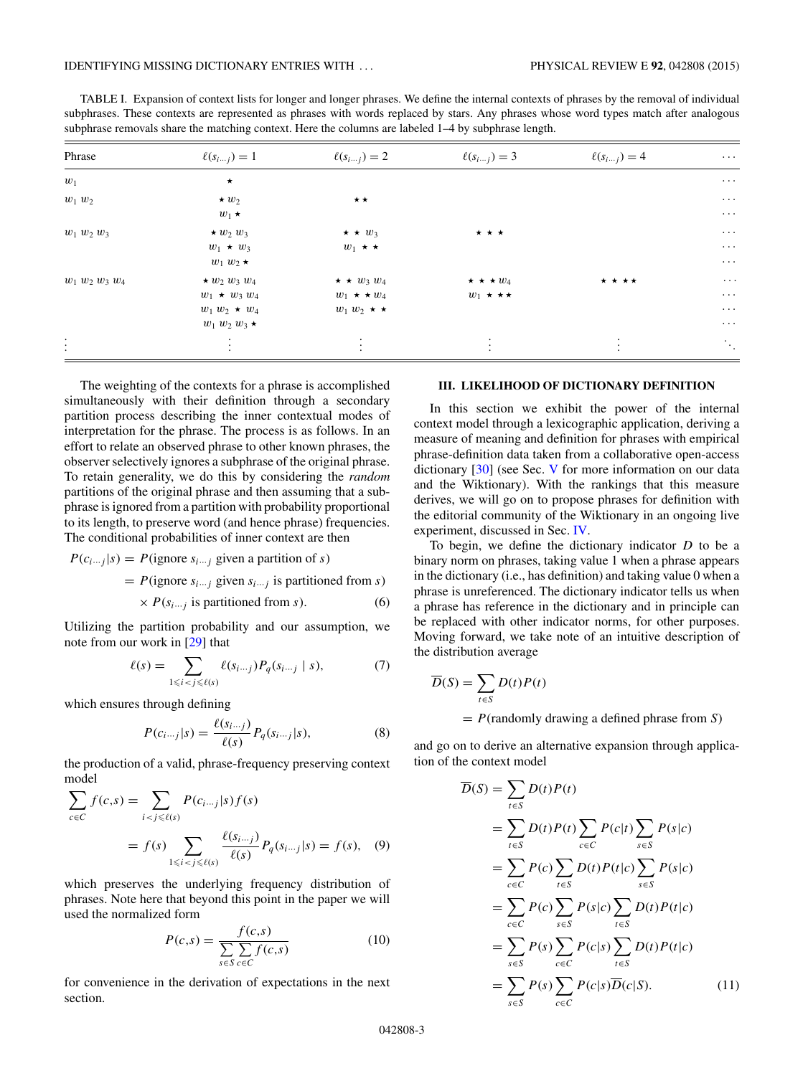<span id="page-2-0"></span>TABLE I. Expansion of context lists for longer and longer phrases. We define the internal contexts of phrases by the removal of individual subphrases. These contexts are represented as phrases with words replaced by stars. Any phrases whose word types match after analogous subphrase removals share the matching context. Here the columns are labeled  $1-4$  by subphrase length.

| Phrase                    | $\ell(s_{i\cdots j})=1$             | $\ell(s_{i\cdots j})=2$ | $\ell(s_{i\cdots j})=3$ | $\ell(s_{i\cdots j})=4$ | $\cdots$                    |
|---------------------------|-------------------------------------|-------------------------|-------------------------|-------------------------|-----------------------------|
| $w_1$                     | $\star$                             |                         |                         |                         | $\ldots$                    |
| $w_1$ $w_2$               | $\star w_2$                         | $\star \star$           |                         |                         | $\cdots$                    |
|                           | $w_1 \star$                         |                         |                         |                         | $\cdots$                    |
| $w_1 w_2 w_3$             | $\star w_2 w_3$                     | $\star \star w_3$       | $\star \star \star$     |                         | $\ldots$ .                  |
|                           | $w_1 \star w_3$                     | $w_1 \star \star$       |                         |                         | $\ldots$                    |
|                           | $w_1 w_2 \star$                     |                         |                         |                         | $\ldots$                    |
| $w_1 w_2 w_3 w_4$         | $\star w_2 w_3 w_4$                 | $\star \star w_3 w_4$   | $\star \star \star w_4$ | * * * *                 | $\ldots$                    |
|                           | $w_1$ $\star$ $w_3$ $w_4$           | $w_1 \star \star w_4$   | $w_1 \star \star \star$ |                         | $\ldots$                    |
|                           | $w_1 w_2 \star w_4$                 | $w_1 w_2 \star \star$   |                         |                         | $\ldots$ .                  |
|                           | $w_1 w_2 w_3 \star$                 |                         |                         |                         | $\ldots$                    |
| $\ddot{\cdot}$<br>$\cdot$ | $\bullet$<br>$\bullet$<br>$\bullet$ | $\bullet$<br>$\cdot$    | $\cdot$                 | $\cdot$                 | $\mathcal{L}_{\mathcal{A}}$ |

The weighting of the contexts for a phrase is accomplished simultaneously with their definition through a secondary partition process describing the inner contextual modes of interpretation for the phrase. The process is as follows. In an effort to relate an observed phrase to other known phrases, the observer selectively ignores a subphrase of the original phrase. To retain generality, we do this by considering the *random* partitions of the original phrase and then assuming that a subphrase is ignored from a partition with probability proportional to its length, to preserve word (and hence phrase) frequencies. The conditional probabilities of inner context are then

 $P(c_{i\cdots j}|s) = P(\text{ignore } s_{i\cdots j} \text{ given a partition of } s)$ 

= 
$$
P
$$
(ignore  $s_{i\cdots j}$  given  $s_{i\cdots j}$  is partitioned from  $s$ )

$$
\times P(s_{i\cdots j} \text{ is partitioned from } s). \tag{6}
$$

Utilizing the partition probability and our assumption, we note from our work in [\[29\]](#page-12-0) that

$$
\ell(s) = \sum_{1 \le i < j \le \ell(s)} \ell(s_{i\cdots j}) P_q(s_{i\cdots j} \mid s),\tag{7}
$$

which ensures through defining

$$
P(c_{i\cdots j}|s) = \frac{\ell(s_{i\cdots j})}{\ell(s)} P_q(s_{i\cdots j}|s),
$$
 (8)

the production of a valid, phrase-frequency preserving context model

$$
\sum_{c \in C} f(c,s) = \sum_{i < j \le \ell(s)} P(c_{i\cdots j} | s) f(s)
$$
\n
$$
= f(s) \sum_{1 \le i < j \le \ell(s)} \frac{\ell(s_{i\cdots j})}{\ell(s)} P_q(s_{i\cdots j} | s) = f(s), \quad (9)
$$

which preserves the underlying frequency distribution of phrases. Note here that beyond this point in the paper we will used the normalized form

$$
P(c,s) = \frac{f(c,s)}{\sum_{s \in S} \sum_{c \in C} f(c,s)}\tag{10}
$$

for convenience in the derivation of expectations in the next section.

# **III. LIKELIHOOD OF DICTIONARY DEFINITION**

In this section we exhibit the power of the internal context model through a lexicographic application, deriving a measure of meaning and definition for phrases with empirical phrase-definition data taken from a collaborative open-access dictionary [\[30\]](#page-12-0) (see Sec. [V](#page-3-0) for more information on our data and the Wiktionary). With the rankings that this measure derives, we will go on to propose phrases for definition with the editorial community of the Wiktionary in an ongoing live experiment, discussed in Sec. [IV.](#page-3-0)

To begin, we define the dictionary indicator  $D$  to be a binary norm on phrases, taking value 1 when a phrase appears in the dictionary (i.e., has definition) and taking value 0 when a phrase is unreferenced. The dictionary indicator tells us when a phrase has reference in the dictionary and in principle can be replaced with other indicator norms, for other purposes. Moving forward, we take note of an intuitive description of the distribution average

$$
\overline{D}(S) = \sum_{t \in S} D(t)P(t)
$$
  
=  $P(\text{randomly drawing a defined phrase from } S)$ 

and go on to derive an alternative expansion through application of the context model

$$
\overline{D}(S) = \sum_{t \in S} D(t)P(t)
$$
\n
$$
= \sum_{t \in S} D(t)P(t) \sum_{c \in C} P(c|t) \sum_{s \in S} P(s|c)
$$
\n
$$
= \sum_{c \in C} P(c) \sum_{t \in S} D(t)P(t|c) \sum_{s \in S} P(s|c)
$$
\n
$$
= \sum_{c \in C} P(c) \sum_{s \in S} P(s|c) \sum_{t \in S} D(t)P(t|c)
$$
\n
$$
= \sum_{s \in S} P(s) \sum_{c \in C} P(c|s) \sum_{t \in S} D(t)P(t|c)
$$
\n
$$
= \sum_{s \in S} P(s) \sum_{c \in C} P(c|s) \overline{D}(c|S). \tag{11}
$$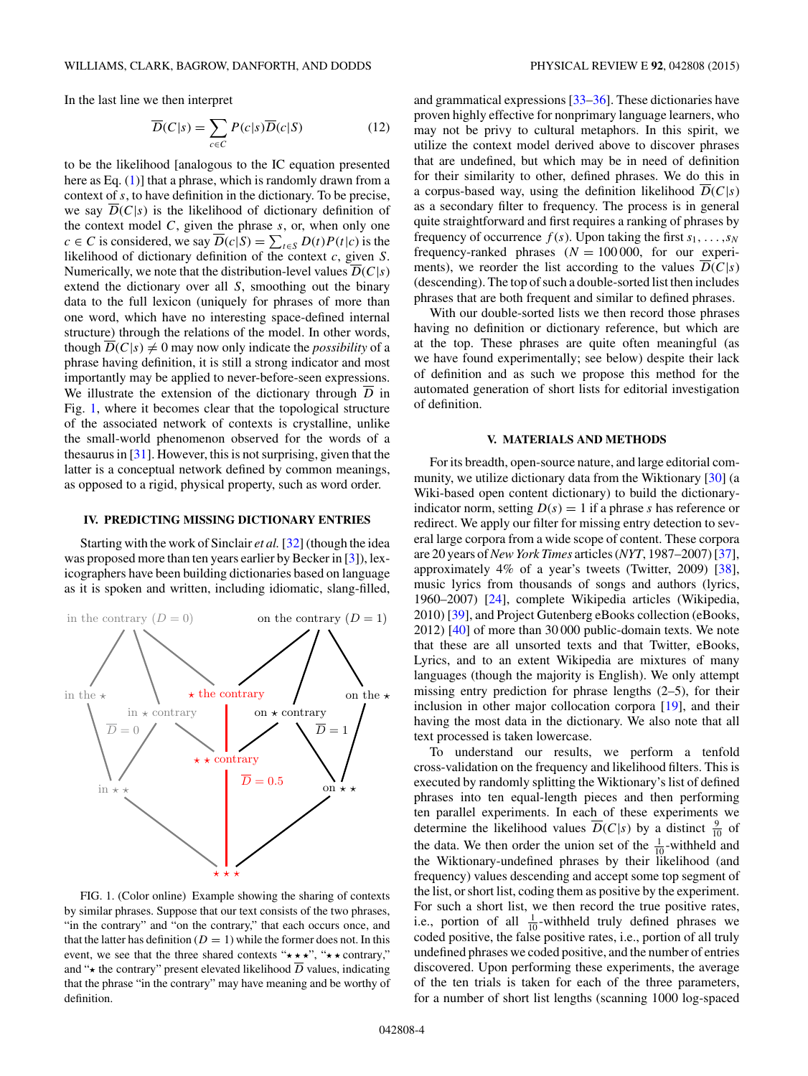<span id="page-3-0"></span>In the last line we then interpret

$$
\overline{D}(C|s) = \sum_{c \in C} P(c|s)\overline{D}(c|S)
$$
 (12)

to be the likelihood [analogous to the IC equation presented here as Eq. [\(1\)](#page-0-0)] that a phrase, which is randomly drawn from a context of s, to have definition in the dictionary. To be precise, we say  $D(C|s)$  is the likelihood of dictionary definition of the context model  $C$ , given the phrase  $s$ , or, when only one  $c \in C$  is considered, we say  $\overline{D}(c|S) = \sum_{t \in S} D(t)P(t|c)$  is the likelihood of dictionary definition of the context  $c$ , given  $S$ . Numerically, we note that the distribution-level values  $D(C|s)$ extend the dictionary over all S, smoothing out the binary data to the full lexicon (uniquely for phrases of more than one word, which have no interesting space-defined internal structure) through the relations of the model. In other words, though  $\overline{D}(C|s) \neq 0$  may now only indicate the *possibility* of a phrase having definition, it is still a strong indicator and most importantly may be applied to never-before-seen expressions. We illustrate the extension of the dictionary through  $\overline{D}$  in Fig. 1, where it becomes clear that the topological structure of the associated network of contexts is crystalline, unlike the small-world phenomenon observed for the words of a thesaurus in [\[31\]](#page-12-0). However, this is not surprising, given that the latter is a conceptual network defined by common meanings, as opposed to a rigid, physical property, such as word order.

### **IV. PREDICTING MISSING DICTIONARY ENTRIES**

Starting with the work of Sinclair *et al.* [\[32\]](#page-12-0) (though the idea was proposed more than ten years earlier by Becker in [\[3\]](#page-12-0)), lexicographers have been building dictionaries based on language as it is spoken and written, including idiomatic, slang-filled,



FIG. 1. (Color online) Example showing the sharing of contexts by similar phrases. Suppose that our text consists of the two phrases, "in the contrary" and "on the contrary," that each occurs once, and that the latter has definition ( $D = 1$ ) while the former does not. In this event, we see that the three shared contexts " $\star \star \star$ ", " $\star \star$  contrary," and " $\star$  the contrary" present elevated likelihood  $\overline{D}$  values, indicating that the phrase "in the contrary" may have meaning and be worthy of definition.

and grammatical expressions [\[33–36\]](#page-12-0). These dictionaries have proven highly effective for nonprimary language learners, who may not be privy to cultural metaphors. In this spirit, we utilize the context model derived above to discover phrases that are undefined, but which may be in need of definition for their similarity to other, defined phrases. We do this in a corpus-based way, using the definition likelihood  $\overline{D}(C|s)$ as a secondary filter to frequency. The process is in general quite straightforward and first requires a ranking of phrases by frequency of occurrence  $f(s)$ . Upon taking the first  $s_1, \ldots, s_N$ frequency-ranked phrases  $(N = 100000,$  for our experiments), we reorder the list according to the values  $D(C|s)$ (descending). The top of such a double-sorted list then includes phrases that are both frequent and similar to defined phrases.

With our double-sorted lists we then record those phrases having no definition or dictionary reference, but which are at the top. These phrases are quite often meaningful (as we have found experimentally; see below) despite their lack of definition and as such we propose this method for the automated generation of short lists for editorial investigation of definition.

#### **V. MATERIALS AND METHODS**

For its breadth, open-source nature, and large editorial community, we utilize dictionary data from the Wiktionary [\[30\]](#page-12-0) (a Wiki-based open content dictionary) to build the dictionaryindicator norm, setting  $D(s) = 1$  if a phrase s has reference or redirect. We apply our filter for missing entry detection to several large corpora from a wide scope of content. These corpora are 20 years of*New York Times* articles (*NYT*, 1987–2007) [\[37\]](#page-12-0), approximately 4% of a year's tweets (Twitter, 2009) [\[38\]](#page-12-0), music lyrics from thousands of songs and authors (lyrics, 1960–2007) [\[24\]](#page-12-0), complete Wikipedia articles (Wikipedia, 2010) [\[39\]](#page-12-0), and Project Gutenberg eBooks collection (eBooks, 2012) [\[40\]](#page-12-0) of more than 30 000 public-domain texts. We note that these are all unsorted texts and that Twitter, eBooks, Lyrics, and to an extent Wikipedia are mixtures of many languages (though the majority is English). We only attempt missing entry prediction for phrase lengths (2–5), for their inclusion in other major collocation corpora [\[19\]](#page-12-0), and their having the most data in the dictionary. We also note that all text processed is taken lowercase.

To understand our results, we perform a tenfold cross-validation on the frequency and likelihood filters. This is executed by randomly splitting the Wiktionary's list of defined phrases into ten equal-length pieces and then performing ten parallel experiments. In each of these experiments we determine the likelihood values  $\overline{D}(C|s)$  by a distinct  $\frac{9}{10}$  of the data. We then order the union set of the  $\frac{1}{10}$ -withheld and the Wiktionary-undefined phrases by their likelihood (and frequency) values descending and accept some top segment of the list, or short list, coding them as positive by the experiment. For such a short list, we then record the true positive rates, i.e., portion of all  $\frac{1}{10}$ -withheld truly defined phrases we coded positive, the false positive rates, i.e., portion of all truly undefined phrases we coded positive, and the number of entries discovered. Upon performing these experiments, the average of the ten trials is taken for each of the three parameters, for a number of short list lengths (scanning 1000 log-spaced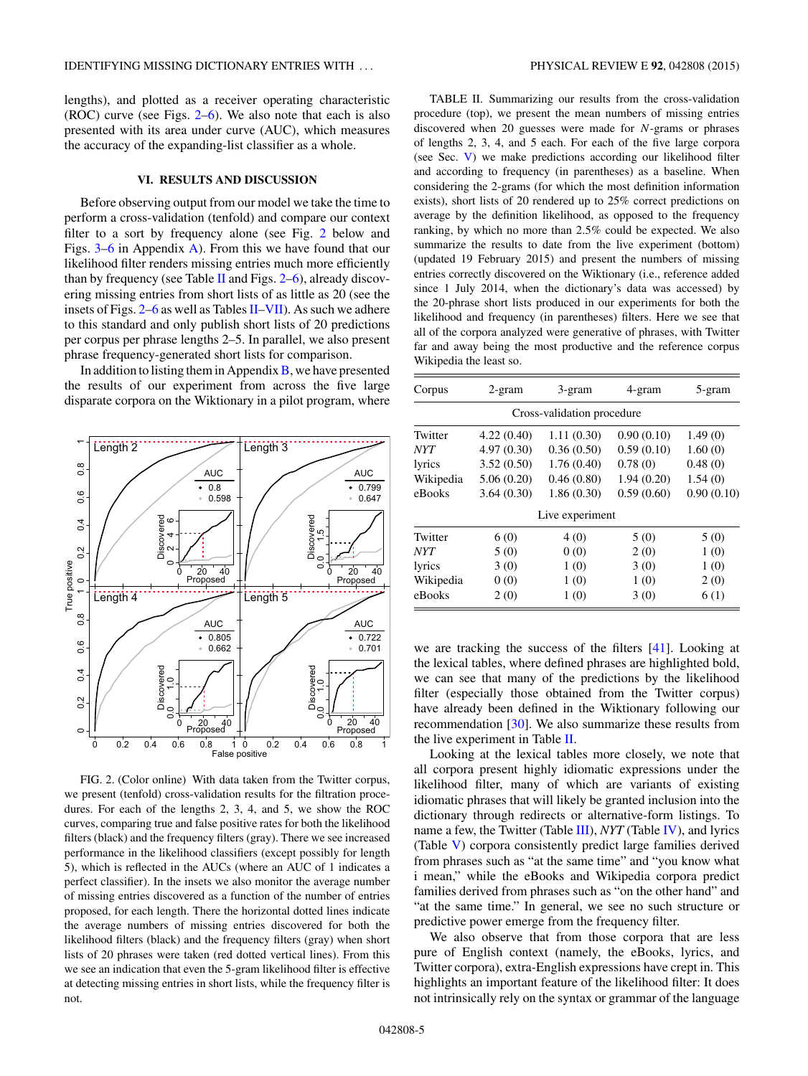lengths), and plotted as a receiver operating characteristic (ROC) curve (see Figs. 2[–6\)](#page-7-0). We also note that each is also presented with its area under curve (AUC), which measures the accuracy of the expanding-list classifier as a whole.

### **VI. RESULTS AND DISCUSSION**

Before observing output from our model we take the time to perform a cross-validation (tenfold) and compare our context filter to a sort by frequency alone (see Fig. 2 below and Figs. [3](#page-6-0)[–6](#page-7-0) in Appendix [A\)](#page-6-0). From this we have found that our likelihood filter renders missing entries much more efficiently than by frequency (see Table II and Figs.  $2-6$ ), already discovering missing entries from short lists of as little as 20 (see the insets of Figs.  $2-6$  as well as Tables II[–VII\)](#page-11-0). As such we adhere to this standard and only publish short lists of 20 predictions per corpus per phrase lengths 2–5. In parallel, we also present phrase frequency-generated short lists for comparison.

In addition to listing them in Appendix  $\bf{B}$ , we have presented the results of our experiment from across the five large disparate corpora on the Wiktionary in a pilot program, where



FIG. 2. (Color online) With data taken from the Twitter corpus, we present (tenfold) cross-validation results for the filtration procedures. For each of the lengths 2, 3, 4, and 5, we show the ROC curves, comparing true and false positive rates for both the likelihood filters (black) and the frequency filters (gray). There we see increased performance in the likelihood classifiers (except possibly for length 5), which is reflected in the AUCs (where an AUC of 1 indicates a perfect classifier). In the insets we also monitor the average number of missing entries discovered as a function of the number of entries proposed, for each length. There the horizontal dotted lines indicate the average numbers of missing entries discovered for both the likelihood filters (black) and the frequency filters (gray) when short lists of 20 phrases were taken (red dotted vertical lines). From this we see an indication that even the 5-gram likelihood filter is effective at detecting missing entries in short lists, while the frequency filter is not.

TABLE II. Summarizing our results from the cross-validation procedure (top), we present the mean numbers of missing entries discovered when 20 guesses were made for N-grams or phrases of lengths 2, 3, 4, and 5 each. For each of the five large corpora (see Sec. [V\)](#page-3-0) we make predictions according our likelihood filter and according to frequency (in parentheses) as a baseline. When considering the 2-grams (for which the most definition information exists), short lists of 20 rendered up to 25% correct predictions on average by the definition likelihood, as opposed to the frequency ranking, by which no more than 2.5% could be expected. We also summarize the results to date from the live experiment (bottom) (updated 19 February 2015) and present the numbers of missing entries correctly discovered on the Wiktionary (i.e., reference added since 1 July 2014, when the dictionary's data was accessed) by the 20-phrase short lists produced in our experiments for both the likelihood and frequency (in parentheses) filters. Here we see that all of the corpora analyzed were generative of phrases, with Twitter far and away being the most productive and the reference corpus Wikipedia the least so.

| Corpus     | $2$ -gram  | 3-gram                     | 4-gram     | 5-gram     |
|------------|------------|----------------------------|------------|------------|
|            |            | Cross-validation procedure |            |            |
| Twitter    | 4.22(0.40) | 1.11(0.30)                 | 0.90(0.10) | 1.49(0)    |
| <b>NYT</b> | 4.97(0.30) | 0.36(0.50)                 | 0.59(0.10) | 1.60(0)    |
| lyrics     | 3.52(0.50) | 1.76(0.40)                 | 0.78(0)    | 0.48(0)    |
| Wikipedia  | 5.06(0.20) | 0.46(0.80)                 | 1.94(0.20) | 1.54(0)    |
| eBooks     | 3.64(0.30) | 1.86(0.30)                 | 0.59(0.60) | 0.90(0.10) |
|            |            | Live experiment            |            |            |
| Twitter    | 6(0)       | 4(0)                       | 5(0)       | 5(0)       |
| <b>NYT</b> | 5(0)       | 0(0)                       | 2(0)       | 1(0)       |
| lyrics     | 3(0)       | 1(0)                       | 3(0)       | 1(0)       |
| Wikipedia  | 0(0)       | 1(0)                       | 1(0)       | 2(0)       |
| eBooks     | 2(0)       | 1(0)                       | 3(0)       | 6(1)       |

we are tracking the success of the filters [\[41\]](#page-12-0). Looking at the lexical tables, where defined phrases are highlighted bold, we can see that many of the predictions by the likelihood filter (especially those obtained from the Twitter corpus) have already been defined in the Wiktionary following our recommendation [\[30\]](#page-12-0). We also summarize these results from the live experiment in Table II.

Looking at the lexical tables more closely, we note that all corpora present highly idiomatic expressions under the likelihood filter, many of which are variants of existing idiomatic phrases that will likely be granted inclusion into the dictionary through redirects or alternative-form listings. To name a few, the Twitter (Table [III\)](#page-5-0), *NYT* (Table [IV\)](#page-8-0), and lyrics (Table [V\)](#page-9-0) corpora consistently predict large families derived from phrases such as "at the same time" and "you know what i mean," while the eBooks and Wikipedia corpora predict families derived from phrases such as "on the other hand" and "at the same time." In general, we see no such structure or predictive power emerge from the frequency filter.

We also observe that from those corpora that are less pure of English context (namely, the eBooks, lyrics, and Twitter corpora), extra-English expressions have crept in. This highlights an important feature of the likelihood filter: It does not intrinsically rely on the syntax or grammar of the language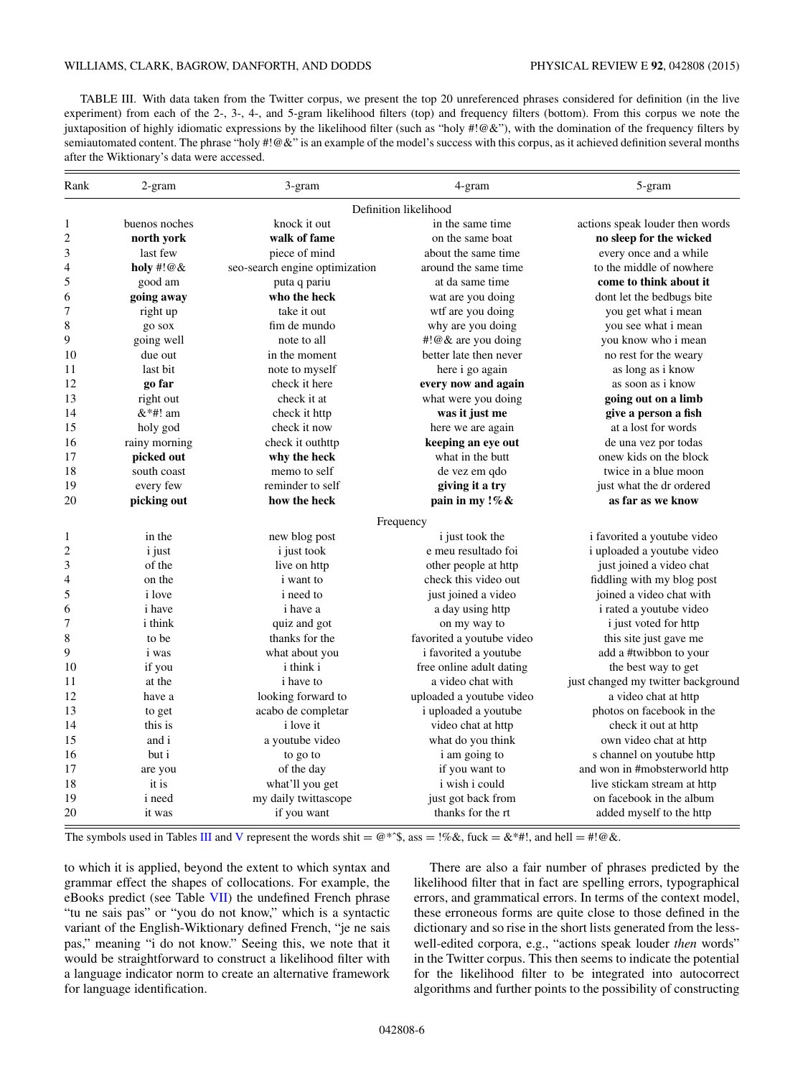<span id="page-5-0"></span>TABLE III. With data taken from the Twitter corpus, we present the top 20 unreferenced phrases considered for definition (in the live experiment) from each of the 2-, 3-, 4-, and 5-gram likelihood filters (top) and frequency filters (bottom). From this corpus we note the juxtaposition of highly idiomatic expressions by the likelihood filter (such as "holy #!@&"), with the domination of the frequency filters by semiautomated content. The phrase "holy #!@&" is an example of the model's success with this corpus, as it achieved definition several months after the Wiktionary's data were accessed.

| Rank                    | 2-gram         | 3-gram                         | 4-gram                    | 5-gram                             |
|-------------------------|----------------|--------------------------------|---------------------------|------------------------------------|
|                         |                |                                | Definition likelihood     |                                    |
| 1                       | buenos noches  | knock it out                   | in the same time          | actions speak louder then words    |
| $\overline{\mathbf{c}}$ | north york     | walk of fame                   | on the same boat          | no sleep for the wicked            |
| 3                       | last few       | piece of mind                  | about the same time       | every once and a while             |
| 4                       | holy #! $@&$   | seo-search engine optimization | around the same time      | to the middle of nowhere           |
| 5                       | good am        | puta q pariu                   | at da same time           | come to think about it             |
| 6                       | going away     | who the heck                   | wat are you doing         | dont let the bedbugs bite          |
| 7                       | right up       | take it out                    | wtf are you doing         | you get what i mean                |
| 8                       | go sox         | fim de mundo                   | why are you doing         | you see what i mean                |
| 9                       | going well     | note to all                    | #!@& are you doing        | you know who i mean                |
| 10                      | due out        | in the moment                  | better late then never    | no rest for the weary              |
| 11                      | last bit       | note to myself                 | here i go again           | as long as i know                  |
| 12                      | go far         | check it here                  | every now and again       | as soon as i know                  |
| 13                      | right out      | check it at                    | what were you doing       | going out on a limb                |
| 14                      | $&$ *#! am     | check it http                  | was it just me            | give a person a fish               |
| 15                      | holy god       | check it now                   | here we are again         | at a lost for words                |
| 16                      | rainy morning  | check it outhttp               | keeping an eye out        | de una vez por todas               |
| 17                      | picked out     | why the heck                   | what in the butt          | onew kids on the block             |
| 18                      | south coast    | memo to self                   | de vez em qdo             | twice in a blue moon               |
| 19                      | every few      | reminder to self               | giving it a try           | just what the dr ordered           |
| 20                      | picking out    | how the heck                   | pain in my !% &           | as far as we know                  |
|                         |                |                                | Frequency                 |                                    |
| 1                       | in the         | new blog post                  | <i>i</i> just took the    | i favorited a youtube video        |
| $\overline{\mathbf{c}}$ | <i>i</i> just  | i just took                    | e meu resultado foi       | i uploaded a youtube video         |
| 3                       | of the         | live on http                   | other people at http      | just joined a video chat           |
| 4                       | on the         | <i>i</i> want to               | check this video out      | fiddling with my blog post         |
| 5                       | <i>i</i> love  | <i>i</i> need to               | just joined a video       | joined a video chat with           |
| 6                       | <i>i</i> have  | i have a                       | a day using http          | i rated a youtube video            |
| 7                       | <i>i</i> think | quiz and got                   | on my way to              | <i>i</i> just voted for http       |
| 8                       | to be          | thanks for the                 | favorited a youtube video | this site just gave me             |
| 9                       | <i>i</i> was   | what about you                 | i favorited a youtube     | add a #twibbon to your             |
| 10                      | if you         | <i>i</i> think <i>i</i>        | free online adult dating  | the best way to get                |
| 11                      | at the         | <i>i</i> have to               | a video chat with         | just changed my twitter background |
| 12                      | have a         | looking forward to             | uploaded a youtube video  | a video chat at http               |
| 13                      | to get         | acabo de completar             | i uploaded a youtube      | photos on facebook in the          |
| 14                      | this is        | <i>i</i> love it               | video chat at http        | check it out at http               |
| 15                      | and i          | a youtube video                | what do you think         | own video chat at http             |
| 16                      | but i          | to go to                       | i am going to             | s channel on youtube http          |
| 17                      | are you        | of the day                     | if you want to            | and won in #mobsterworld http      |
| 18                      | it is          | what'll you get                | i wish i could            | live stickam stream at http        |
| 19                      | <i>i</i> need  | my daily twittascope           | just got back from        | on facebook in the album           |
| 20                      | it was         | if you want                    | thanks for the rt         | added myself to the http           |

The symbols used in Tables III and [V](#page-9-0) represent the words shit =  $@**\$ , ass =  $\frac{1}{6}$ , fuck =  $\&$  \*#!, and hell = #! $@\&$ .

to which it is applied, beyond the extent to which syntax and grammar effect the shapes of collocations. For example, the eBooks predict (see Table [VII\)](#page-11-0) the undefined French phrase "tu ne sais pas" or "you do not know," which is a syntactic variant of the English-Wiktionary defined French, "je ne sais pas," meaning "i do not know." Seeing this, we note that it would be straightforward to construct a likelihood filter with a language indicator norm to create an alternative framework for language identification.

There are also a fair number of phrases predicted by the likelihood filter that in fact are spelling errors, typographical errors, and grammatical errors. In terms of the context model, these erroneous forms are quite close to those defined in the dictionary and so rise in the short lists generated from the lesswell-edited corpora, e.g., "actions speak louder *then* words" in the Twitter corpus. This then seems to indicate the potential for the likelihood filter to be integrated into autocorrect algorithms and further points to the possibility of constructing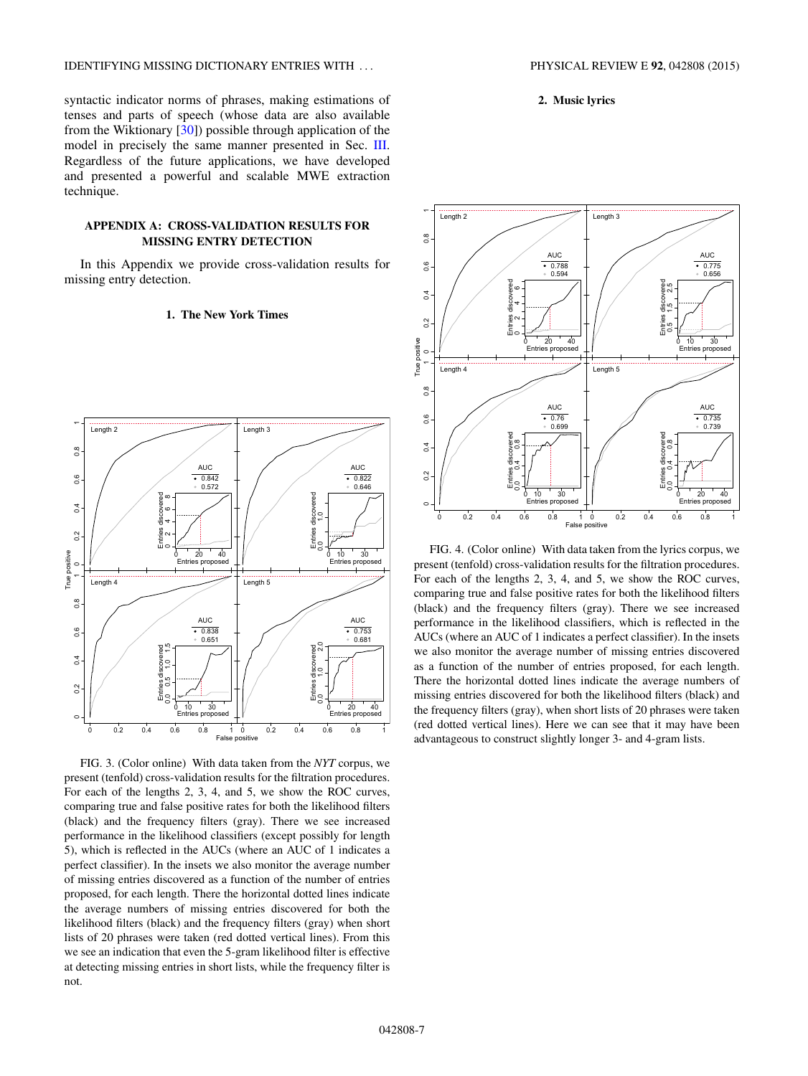<span id="page-6-0"></span>syntactic indicator norms of phrases, making estimations of tenses and parts of speech (whose data are also available from the Wiktionary [\[30\]](#page-12-0)) possible through application of the model in precisely the same manner presented in Sec. [III.](#page-2-0) Regardless of the future applications, we have developed and presented a powerful and scalable MWE extraction technique.

### **APPENDIX A: CROSS-VALIDATION RESULTS FOR MISSING ENTRY DETECTION**

In this Appendix we provide cross-validation results for missing entry detection.

### **1. The New York Times**



FIG. 3. (Color online) With data taken from the *NYT* corpus, we present (tenfold) cross-validation results for the filtration procedures. For each of the lengths 2, 3, 4, and 5, we show the ROC curves, comparing true and false positive rates for both the likelihood filters (black) and the frequency filters (gray). There we see increased performance in the likelihood classifiers (except possibly for length 5), which is reflected in the AUCs (where an AUC of 1 indicates a perfect classifier). In the insets we also monitor the average number of missing entries discovered as a function of the number of entries proposed, for each length. There the horizontal dotted lines indicate the average numbers of missing entries discovered for both the likelihood filters (black) and the frequency filters (gray) when short lists of 20 phrases were taken (red dotted vertical lines). From this we see an indication that even the 5-gram likelihood filter is effective at detecting missing entries in short lists, while the frequency filter is not.





FIG. 4. (Color online) With data taken from the lyrics corpus, we present (tenfold) cross-validation results for the filtration procedures. For each of the lengths 2, 3, 4, and 5, we show the ROC curves, comparing true and false positive rates for both the likelihood filters (black) and the frequency filters (gray). There we see increased performance in the likelihood classifiers, which is reflected in the AUCs (where an AUC of 1 indicates a perfect classifier). In the insets we also monitor the average number of missing entries discovered as a function of the number of entries proposed, for each length. There the horizontal dotted lines indicate the average numbers of missing entries discovered for both the likelihood filters (black) and the frequency filters (gray), when short lists of 20 phrases were taken (red dotted vertical lines). Here we can see that it may have been advantageous to construct slightly longer 3- and 4-gram lists.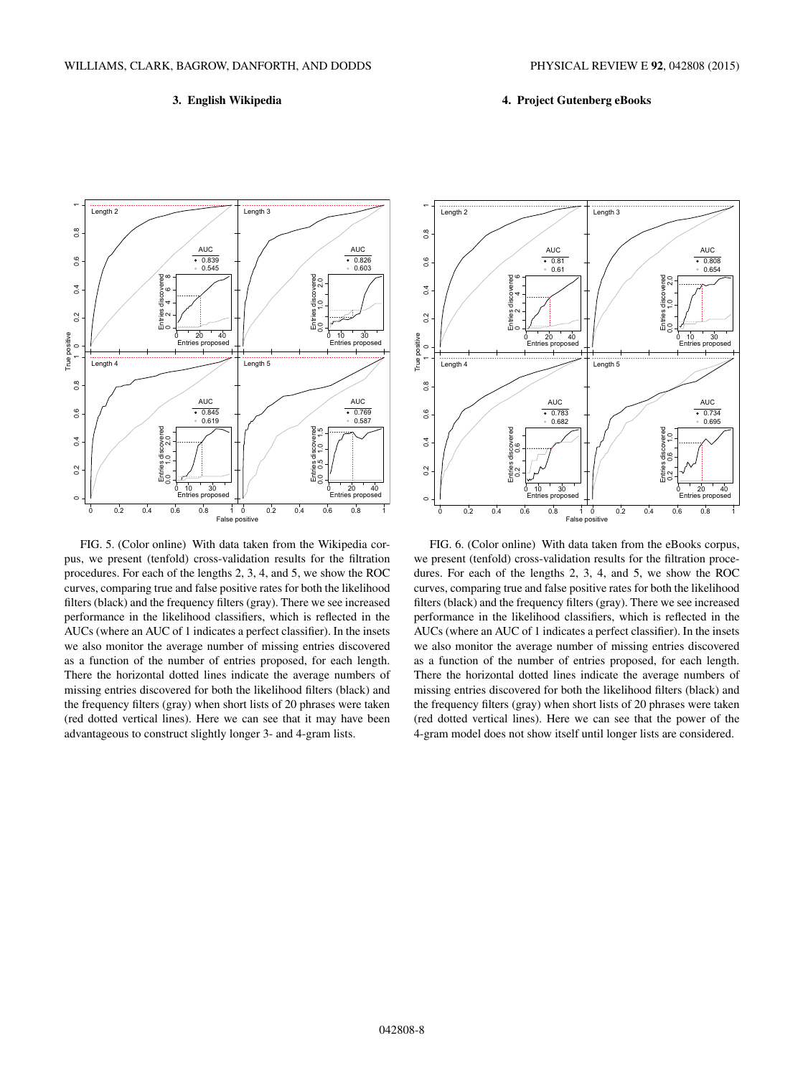## **3. English Wikipedia**

# **4. Project Gutenberg eBooks**

<span id="page-7-0"></span>

FIG. 5. (Color online) With data taken from the Wikipedia corpus, we present (tenfold) cross-validation results for the filtration procedures. For each of the lengths 2, 3, 4, and 5, we show the ROC curves, comparing true and false positive rates for both the likelihood filters (black) and the frequency filters (gray). There we see increased performance in the likelihood classifiers, which is reflected in the AUCs (where an AUC of 1 indicates a perfect classifier). In the insets we also monitor the average number of missing entries discovered as a function of the number of entries proposed, for each length. There the horizontal dotted lines indicate the average numbers of missing entries discovered for both the likelihood filters (black) and the frequency filters (gray) when short lists of 20 phrases were taken (red dotted vertical lines). Here we can see that it may have been advantageous to construct slightly longer 3- and 4-gram lists.



FIG. 6. (Color online) With data taken from the eBooks corpus, we present (tenfold) cross-validation results for the filtration procedures. For each of the lengths 2, 3, 4, and 5, we show the ROC curves, comparing true and false positive rates for both the likelihood filters (black) and the frequency filters (gray). There we see increased performance in the likelihood classifiers, which is reflected in the AUCs (where an AUC of 1 indicates a perfect classifier). In the insets we also monitor the average number of missing entries discovered as a function of the number of entries proposed, for each length. There the horizontal dotted lines indicate the average numbers of missing entries discovered for both the likelihood filters (black) and the frequency filters (gray) when short lists of 20 phrases were taken (red dotted vertical lines). Here we can see that the power of the 4-gram model does not show itself until longer lists are considered.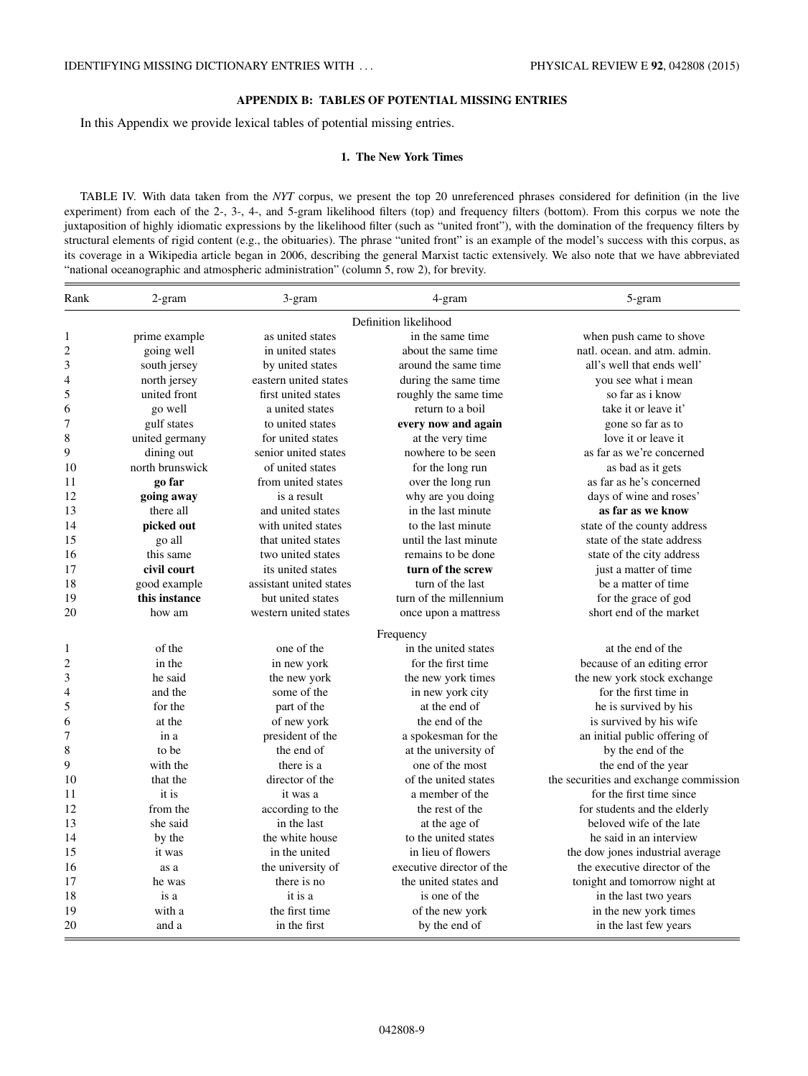# **APPENDIX B: TABLES OF POTENTIAL MISSING ENTRIES**

<span id="page-8-0"></span>In this Appendix we provide lexical tables of potential missing entries.

#### **1. The New York Times**

TABLE IV. With data taken from the *NYT* corpus, we present the top 20 unreferenced phrases considered for definition (in the live experiment) from each of the 2-, 3-, 4-, and 5-gram likelihood filters (top) and frequency filters (bottom). From this corpus we note the juxtaposition of highly idiomatic expressions by the likelihood filter (such as "united front"), with the domination of the frequency filters by structural elements of rigid content (e.g., the obituaries). The phrase "united front" is an example of the model's success with this corpus, as its coverage in a Wikipedia article began in 2006, describing the general Marxist tactic extensively. We also note that we have abbreviated "national oceanographic and atmospheric administration" (column 5, row 2), for brevity.

| Rank                    | 2-gram                | 3-gram                  | 4-gram                    | 5-gram                                 |  |  |
|-------------------------|-----------------------|-------------------------|---------------------------|----------------------------------------|--|--|
|                         | Definition likelihood |                         |                           |                                        |  |  |
| 1                       | prime example         | as united states        | in the same time          | when push came to shove                |  |  |
| $\overline{\mathbf{c}}$ | going well            | in united states        | about the same time       | natl. ocean. and atm. admin.           |  |  |
| 3                       | south jersey          | by united states        | around the same time      | all's well that ends well'             |  |  |
| 4                       | north jersey          | eastern united states   | during the same time.     | you see what i mean                    |  |  |
| 5                       | united front          | first united states     | roughly the same time     | so far as i know                       |  |  |
| 6                       | go well               | a united states         | return to a boil          | take it or leave it'                   |  |  |
| 7                       | gulf states           | to united states        | every now and again       | gone so far as to                      |  |  |
| 8                       | united germany        | for united states       | at the very time          | love it or leave it                    |  |  |
| 9                       | dining out            | senior united states    | nowhere to be seen        | as far as we're concerned              |  |  |
| 10                      | north brunswick       | of united states        | for the long run          | as bad as it gets                      |  |  |
| 11                      | go far                | from united states      | over the long run         | as far as he's concerned               |  |  |
| 12                      | going away            | is a result             | why are you doing         | days of wine and roses'                |  |  |
| 13                      | there all             | and united states       | in the last minute        | as far as we know                      |  |  |
| 14                      | picked out            | with united states      | to the last minute        | state of the county address            |  |  |
| 15                      | go all                | that united states      | until the last minute     | state of the state address             |  |  |
| 16                      | this same             | two united states       | remains to be done        | state of the city address              |  |  |
| 17                      | civil court           | its united states       | turn of the screw         | just a matter of time                  |  |  |
| 18                      | good example          | assistant united states | turn of the last          | be a matter of time                    |  |  |
| 19                      | this instance         | but united states       | turn of the millennium    | for the grace of god                   |  |  |
| 20                      | how am                | western united states   | once upon a mattress      | short end of the market                |  |  |
|                         |                       |                         | Frequency                 |                                        |  |  |
| 1                       | of the                | one of the              | in the united states      | at the end of the                      |  |  |
| $\overline{\mathbf{c}}$ | in the                | in new york             | for the first time.       | because of an editing error            |  |  |
| 3                       | he said               | the new york            | the new york times        | the new york stock exchange            |  |  |
| 4                       | and the               | some of the             | in new york city          | for the first time in                  |  |  |
| 5                       | for the               | part of the             | at the end of             | he is survived by his                  |  |  |
| 6                       | at the                | of new york             | the end of the            | is survived by his wife                |  |  |
| 7                       | in a                  | president of the        | a spokesman for the       | an initial public offering of          |  |  |
| 8                       | to be                 | the end of              | at the university of      | by the end of the                      |  |  |
| 9                       | with the              | there is a              | one of the most           | the end of the year                    |  |  |
| 10                      | that the              | director of the         | of the united states      | the securities and exchange commission |  |  |
| 11                      | it is                 | it was a                | a member of the           | for the first time since               |  |  |
| 12                      | from the              | according to the        | the rest of the           | for students and the elderly           |  |  |
| 13                      | she said              | in the last             | at the age of             | beloved wife of the late               |  |  |
| 14                      | by the                | the white house         | to the united states      | he said in an interview                |  |  |
| 15                      | it was                | in the united           | in lieu of flowers        | the dow jones industrial average.      |  |  |
| 16                      | as a                  | the university of       | executive director of the | the executive director of the          |  |  |
| 17                      | he was                | there is no             | the united states and     | tonight and tomorrow night at          |  |  |
| 18                      | is a                  | it is a                 | is one of the             | in the last two years                  |  |  |
| 19                      | with a                | the first time          | of the new york           | in the new york times                  |  |  |
| 20                      | and a                 | in the first            | by the end of             | in the last few years                  |  |  |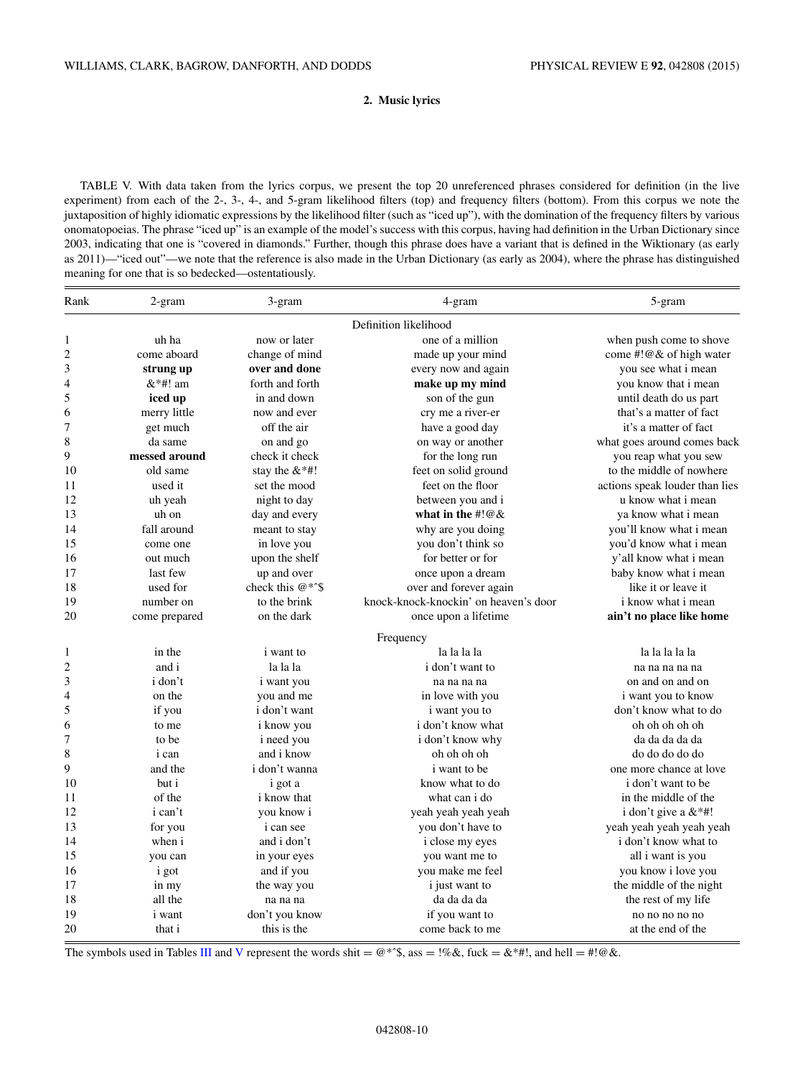# **2. Music lyrics**

<span id="page-9-0"></span>TABLE V. With data taken from the lyrics corpus, we present the top 20 unreferenced phrases considered for definition (in the live experiment) from each of the 2-, 3-, 4-, and 5-gram likelihood filters (top) and frequency filters (bottom). From this corpus we note the juxtaposition of highly idiomatic expressions by the likelihood filter (such as "iced up"), with the domination of the frequency filters by various onomatopoeias. The phrase "iced up" is an example of the model's success with this corpus, having had definition in the Urban Dictionary since 2003, indicating that one is "covered in diamonds." Further, though this phrase does have a variant that is defined in the Wiktionary (as early as 2011)—"iced out"—we note that the reference is also made in the Urban Dictionary (as early as 2004), where the phrase has distinguished meaning for one that is so bedecked—ostentatiously.

| Rank                    | 2-gram         | 3-gram             | 4-gram                                | 5-gram                         |
|-------------------------|----------------|--------------------|---------------------------------------|--------------------------------|
|                         |                |                    | Definition likelihood                 |                                |
| 1                       | uh ha          | now or later       | one of a million                      | when push come to shove        |
| $\overline{\mathbf{c}}$ | come aboard    | change of mind     | made up your mind                     | come #!@& of high water        |
| 3                       | strung up      | over and done      | every now and again                   | you see what i mean            |
| 4                       | $&$ *#! am     | forth and forth    | make up my mind                       | you know that i mean           |
| 5                       | iced up        | in and down        | son of the gun                        | until death do us part         |
| 6                       | merry little   | now and ever       | cry me a river-er                     | that's a matter of fact        |
| 7                       | get much       | off the air        | have a good day                       | it's a matter of fact          |
| 8                       | da same        | on and go          | on way or another                     | what goes around comes back    |
| 9                       | messed around  | check it check     | for the long run                      | you reap what you sew          |
| 10                      | old same       | stay the $&$ *#!   | feet on solid ground                  | to the middle of nowhere       |
| 11                      | used it        | set the mood       | feet on the floor                     | actions speak louder than lies |
| 12                      | uh yeah        | night to day       | between you and i                     | u know what i mean             |
| 13                      | uh on          | day and every      | what in the $\#$ ! @ &                | ya know what i mean            |
| 14                      | fall around    | meant to stay      | why are you doing                     | you'll know what i mean        |
| 15                      | come one       | in love you        | you don't think so                    | you'd know what i mean         |
| 16                      | out much       | upon the shelf     | for better or for                     | y'all know what i mean         |
| 17                      | last few       | up and over        | once upon a dream                     | baby know what i mean          |
| 18                      | used for       | check this $@*^s$$ | over and forever again                | like it or leave it            |
| 19                      | number on      | to the brink       | knock-knock-knockin' on heaven's door | i know what i mean             |
| 20                      | come prepared  | on the dark        | once upon a lifetime                  | ain't no place like home       |
|                         |                |                    | Frequency                             |                                |
| 1                       | in the         | <i>i</i> want to   | la la la la                           | la la la la la                 |
| $\overline{\mathbf{c}}$ | and i          | la la la           | <i>i</i> don't want to                | na na na na na                 |
| 3                       | <i>i</i> don't | i want you         | na na na na                           | on and on and on               |
| 4                       | on the         | you and me         | in love with you                      | <i>i</i> want you to know      |
| 5                       | if you         | i don't want       | <i>i</i> want you to                  | don't know what to do          |
| 6                       | to me          | i know you         | i don't know what                     | oh oh oh oh oh                 |
| $\overline{7}$          | to be          | i need you         | i don't know why                      | da da da da da                 |
| 8                       | <i>i</i> can   | and i know         | oh oh oh oh                           | do do do do do                 |
| 9                       | and the        | i don't wanna      | <i>i</i> want to be                   | one more chance at love        |
| 10                      | but i          | i got a            | know what to do                       | i don't want to be             |
| 11                      | of the         | <i>i</i> know that | what can i do                         | in the middle of the           |
| 12                      | i can't        | you know i         | yeah yeah yeah yeah                   | i don't give a $&$ *#!         |
| 13                      | for you        | <i>i</i> can see   | you don't have to                     | yeah yeah yeah yeah            |
| 14                      | when i         | and i don't        | i close my eyes                       | i don't know what to           |
| 15                      | you can        | in your eyes       | you want me to                        | all i want is you              |
| 16                      | <i>i</i> got   | and if you         | you make me feel                      | you know i love you            |
| 17                      | in my          | the way you        | <i>i</i> just want to                 | the middle of the night        |
| 18                      | all the        | na na na           | da da da da                           | the rest of my life            |
| 19                      | <i>i</i> want  | don't you know     | if you want to                        | no no no no no                 |
| 20                      | that i         | this is the        | come back to me                       | at the end of the              |

The symbols used in Tables [III](#page-5-0) and V represent the words shit =  $@^{*}\hat{ }$ , ass = !%&, fuck = &\*#!, and hell = #!@&.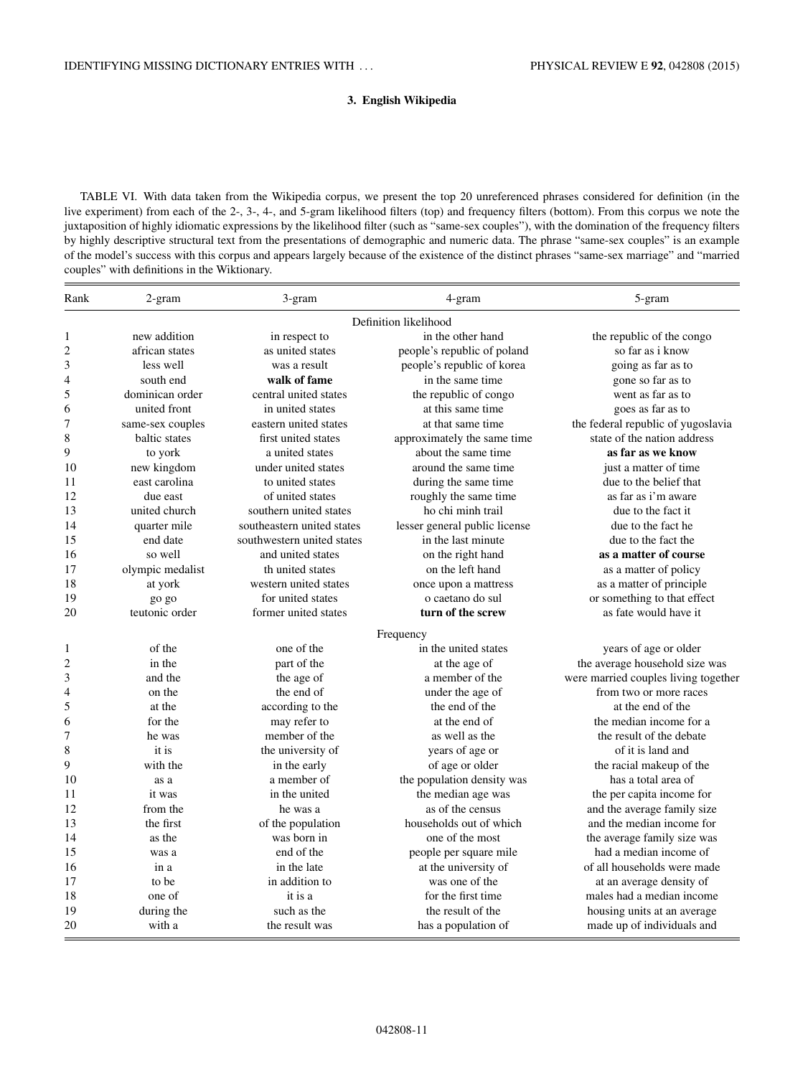## **3. English Wikipedia**

TABLE VI. With data taken from the Wikipedia corpus, we present the top 20 unreferenced phrases considered for definition (in the live experiment) from each of the 2-, 3-, 4-, and 5-gram likelihood filters (top) and frequency filters (bottom). From this corpus we note the juxtaposition of highly idiomatic expressions by the likelihood filter (such as "same-sex couples"), with the domination of the frequency filters by highly descriptive structural text from the presentations of demographic and numeric data. The phrase "same-sex couples" is an example of the model's success with this corpus and appears largely because of the existence of the distinct phrases "same-sex marriage" and "married couples" with definitions in the Wiktionary.

| Rank                    | 2-gram           | 3-gram                     | 4-gram                        | 5-gram                               |
|-------------------------|------------------|----------------------------|-------------------------------|--------------------------------------|
|                         |                  |                            | Definition likelihood         |                                      |
| 1                       | new addition     | in respect to              | in the other hand             | the republic of the congo            |
| $\overline{\mathbf{c}}$ | african states   | as united states           | people's republic of poland   | so far as i know                     |
| 3                       | less well        | was a result               | people's republic of korea    | going as far as to                   |
| 4                       | south end        | walk of fame               | in the same time              | gone so far as to                    |
| 5                       | dominican order  | central united states      | the republic of congo         | went as far as to                    |
| 6                       | united front     | in united states           | at this same time             | goes as far as to                    |
| 7                       | same-sex couples | eastern united states      | at that same time             | the federal republic of yugoslavia   |
| 8                       | baltic states    | first united states        | approximately the same time   | state of the nation address          |
| 9                       | to york          | a united states            | about the same time           | as far as we know                    |
| 10                      | new kingdom      | under united states        | around the same time.         | just a matter of time                |
| 11                      | east carolina    | to united states           | during the same time          | due to the belief that               |
| 12                      | due east         | of united states           | roughly the same time         | as far as i'm aware                  |
| 13                      | united church    | southern united states     | ho chi minh trail             | due to the fact it                   |
| 14                      | quarter mile     | southeastern united states | lesser general public license | due to the fact he                   |
| 15                      | end date         | southwestern united states | in the last minute            | due to the fact the                  |
| 16                      | so well          | and united states          | on the right hand             | as a matter of course                |
| 17                      | olympic medalist | th united states           | on the left hand              | as a matter of policy                |
| 18                      | at york          | western united states      | once upon a mattress          | as a matter of principle             |
| 19                      | go go            | for united states          | o caetano do sul              | or something to that effect          |
| 20                      | teutonic order   | former united states       | turn of the screw             | as fate would have it                |
|                         |                  |                            | Frequency                     |                                      |
| 1                       | of the           | one of the                 | in the united states          | years of age or older                |
| 2                       | in the           | part of the                | at the age of                 | the average household size was       |
| 3                       | and the          | the age of                 | a member of the               | were married couples living together |
| 4                       | on the           | the end of                 | under the age of              | from two or more races               |
| 5                       | at the           | according to the           | the end of the                | at the end of the                    |
| 6                       | for the          | may refer to               | at the end of                 | the median income for a              |
| 7                       | he was           | member of the              | as well as the                | the result of the debate             |
| 8                       | it is            | the university of          | years of age or               | of it is land and                    |
| 9                       | with the         | in the early               | of age or older               | the racial makeup of the             |
| 10                      | as a             | a member of                | the population density was    | has a total area of                  |
| 11                      | it was           | in the united              | the median age was            | the per capita income for            |
| 12                      | from the         | he was a                   | as of the census              | and the average family size          |
| 13                      | the first        | of the population          | households out of which       | and the median income for            |
| 14                      | as the           | was born in                | one of the most               | the average family size was          |
| 15                      | was a            | end of the                 | people per square mile        | had a median income of               |
| 16                      | in a             | in the late                | at the university of          | of all households were made          |
| 17                      | to be            | in addition to             | was one of the                | at an average density of             |
| 18                      | one of           | it is a                    | for the first time            | males had a median income            |
| 19                      | during the       | such as the                | the result of the             | housing units at an average          |
| 20                      | with a           | the result was             | has a population of           | made up of individuals and           |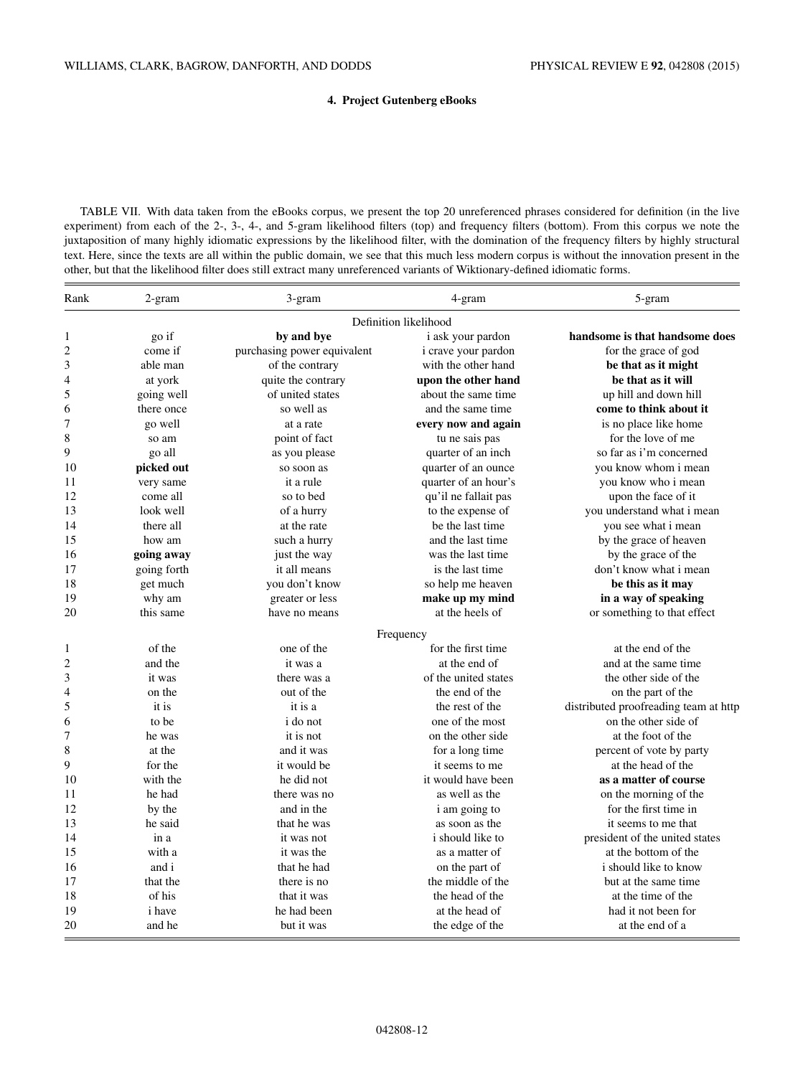## **4. Project Gutenberg eBooks**

<span id="page-11-0"></span>TABLE VII. With data taken from the eBooks corpus, we present the top 20 unreferenced phrases considered for definition (in the live experiment) from each of the 2-, 3-, 4-, and 5-gram likelihood filters (top) and frequency filters (bottom). From this corpus we note the juxtaposition of many highly idiomatic expressions by the likelihood filter, with the domination of the frequency filters by highly structural text. Here, since the texts are all within the public domain, we see that this much less modern corpus is without the innovation present in the other, but that the likelihood filter does still extract many unreferenced variants of Wiktionary-defined idiomatic forms.

| Rank             | 2-gram        | 3-gram                      | 4-gram                  | 5-gram                                |
|------------------|---------------|-----------------------------|-------------------------|---------------------------------------|
|                  |               |                             | Definition likelihood   |                                       |
| 1                | go if         | by and bye                  | i ask your pardon       | handsome is that handsome does        |
| 2                | come if       | purchasing power equivalent | i crave your pardon     | for the grace of god                  |
| 3                | able man      | of the contrary             | with the other hand     | be that as it might                   |
| 4                | at york       | quite the contrary          | upon the other hand     | be that as it will                    |
| 5                | going well    | of united states            | about the same time     | up hill and down hill                 |
| 6                | there once    | so well as                  | and the same time       | come to think about it                |
| 7                | go well       | at a rate                   | every now and again     | is no place like home                 |
| 8                | so am         | point of fact               | tu ne sais pas          | for the love of me                    |
| 9                | go all        | as you please               | quarter of an inch      | so far as i'm concerned               |
| 10               | picked out    | so soon as                  | quarter of an ounce     | you know whom i mean                  |
| 11               | very same     | it a rule                   | quarter of an hour's    | you know who i mean                   |
| 12               | come all      | so to bed                   | qu'il ne fallait pas    | upon the face of it                   |
| 13               | look well     | of a hurry                  | to the expense of       | you understand what i mean            |
| 14               | there all     | at the rate                 | be the last time        | you see what i mean                   |
| 15               | how am        | such a hurry                | and the last time       | by the grace of heaven                |
| 16               | going away    | just the way                | was the last time       | by the grace of the                   |
| 17               | going forth   | it all means                | is the last time        | don't know what i mean                |
| 18               | get much      | you don't know              | so help me heaven       | be this as it may                     |
| 19               | why am        | greater or less             | make up my mind         | in a way of speaking                  |
| 20               | this same     | have no means               | at the heels of         | or something to that effect           |
|                  |               |                             | Frequency               |                                       |
| 1                | of the        | one of the                  | for the first time      | at the end of the                     |
| $\boldsymbol{2}$ | and the       | it was a                    | at the end of           | and at the same time.                 |
| 3                | it was        | there was a                 | of the united states    | the other side of the                 |
| 4                | on the        | out of the                  | the end of the          | on the part of the                    |
| 5                | it is         | it is a                     | the rest of the         | distributed proofreading team at http |
| 6                | to be         | i do not                    | one of the most         | on the other side of                  |
| 7                | he was        | it is not                   | on the other side       | at the foot of the                    |
| 8                | at the        | and it was                  | for a long time         | percent of vote by party              |
| 9                | for the       | it would be                 | it seems to me          | at the head of the                    |
| 10               | with the      | he did not                  | it would have been      | as a matter of course                 |
| 11               | he had        | there was no                | as well as the          | on the morning of the                 |
| 12               | by the        | and in the                  | i am going to           | for the first time in                 |
| 13               | he said       | that he was                 | as soon as the          | it seems to me that                   |
| 14               | in a          | it was not                  | <i>i</i> should like to | president of the united states        |
| 15               | with a        | it was the                  | as a matter of          | at the bottom of the                  |
| 16               | and i         | that he had                 | on the part of          | i should like to know                 |
| 17               | that the      | there is no                 | the middle of the       | but at the same time                  |
| 18               | of his        | that it was                 | the head of the         | at the time of the                    |
| 19               | <i>i</i> have | he had been                 | at the head of          | had it not been for                   |
| 20               | and he        | but it was                  | the edge of the         | at the end of a                       |